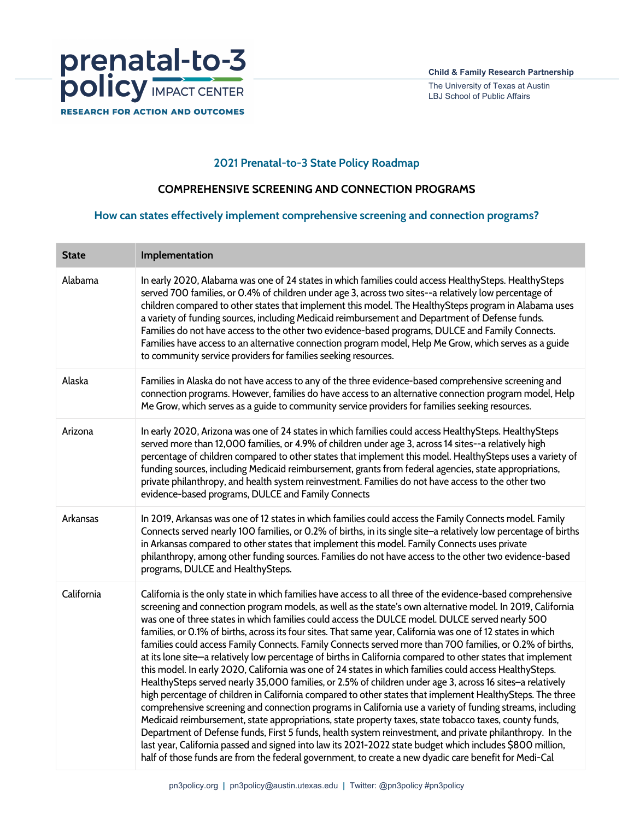

The University of Texas at Austin LBJ School of Public Affairs

## **2021 Prenatal-to-3 State Policy Roadmap**

## **COMPREHENSIVE SCREENING AND CONNECTION PROGRAMS**

## **How can states effectively implement comprehensive screening and connection programs?**

| <b>State</b> | Implementation                                                                                                                                                                                                                                                                                                                                                                                                                                                                                                                                                                                                                                                                                                                                                                                                                                                                                                                                                                                                                                                                                                                                                                                                                                                                                                                                                                                                                                                                                                                                                         |
|--------------|------------------------------------------------------------------------------------------------------------------------------------------------------------------------------------------------------------------------------------------------------------------------------------------------------------------------------------------------------------------------------------------------------------------------------------------------------------------------------------------------------------------------------------------------------------------------------------------------------------------------------------------------------------------------------------------------------------------------------------------------------------------------------------------------------------------------------------------------------------------------------------------------------------------------------------------------------------------------------------------------------------------------------------------------------------------------------------------------------------------------------------------------------------------------------------------------------------------------------------------------------------------------------------------------------------------------------------------------------------------------------------------------------------------------------------------------------------------------------------------------------------------------------------------------------------------------|
| Alabama      | In early 2020, Alabama was one of 24 states in which families could access HealthySteps. HealthySteps<br>served 700 families, or 0.4% of children under age 3, across two sites--a relatively low percentage of<br>children compared to other states that implement this model. The HealthySteps program in Alabama uses<br>a variety of funding sources, including Medicaid reimbursement and Department of Defense funds.<br>Families do not have access to the other two evidence-based programs, DULCE and Family Connects.<br>Families have access to an alternative connection program model, Help Me Grow, which serves as a guide<br>to community service providers for families seeking resources.                                                                                                                                                                                                                                                                                                                                                                                                                                                                                                                                                                                                                                                                                                                                                                                                                                                            |
| Alaska       | Families in Alaska do not have access to any of the three evidence-based comprehensive screening and<br>connection programs. However, families do have access to an alternative connection program model, Help<br>Me Grow, which serves as a guide to community service providers for families seeking resources.                                                                                                                                                                                                                                                                                                                                                                                                                                                                                                                                                                                                                                                                                                                                                                                                                                                                                                                                                                                                                                                                                                                                                                                                                                                      |
| Arizona      | In early 2020, Arizona was one of 24 states in which families could access HealthySteps. HealthySteps<br>served more than 12,000 families, or 4.9% of children under age 3, across 14 sites--a relatively high<br>percentage of children compared to other states that implement this model. HealthySteps uses a variety of<br>funding sources, including Medicaid reimbursement, grants from federal agencies, state appropriations,<br>private philanthropy, and health system reinvestment. Families do not have access to the other two<br>evidence-based programs, DULCE and Family Connects                                                                                                                                                                                                                                                                                                                                                                                                                                                                                                                                                                                                                                                                                                                                                                                                                                                                                                                                                                      |
| Arkansas     | In 2019, Arkansas was one of 12 states in which families could access the Family Connects model. Family<br>Connects served nearly 100 families, or 0.2% of births, in its single site-a relatively low percentage of births<br>in Arkansas compared to other states that implement this model. Family Connects uses private<br>philanthropy, among other funding sources. Families do not have access to the other two evidence-based<br>programs, DULCE and HealthySteps.                                                                                                                                                                                                                                                                                                                                                                                                                                                                                                                                                                                                                                                                                                                                                                                                                                                                                                                                                                                                                                                                                             |
| California   | California is the only state in which families have access to all three of the evidence-based comprehensive<br>screening and connection program models, as well as the state's own alternative model. In 2019, California<br>was one of three states in which families could access the DULCE model. DULCE served nearly 500<br>families, or 0.1% of births, across its four sites. That same year, California was one of 12 states in which<br>families could access Family Connects. Family Connects served more than 700 families, or 0.2% of births,<br>at its lone site-a relatively low percentage of births in California compared to other states that implement<br>this model. In early 2020, California was one of 24 states in which families could access HealthySteps.<br>HealthySteps served nearly 35,000 families, or 2.5% of children under age 3, across 16 sites-a relatively<br>high percentage of children in California compared to other states that implement HealthySteps. The three<br>comprehensive screening and connection programs in California use a variety of funding streams, including<br>Medicaid reimbursement, state appropriations, state property taxes, state tobacco taxes, county funds,<br>Department of Defense funds, First 5 funds, health system reinvestment, and private philanthropy. In the<br>last year, California passed and signed into law its 2021-2022 state budget which includes \$800 million,<br>half of those funds are from the federal government, to create a new dyadic care benefit for Medi-Cal |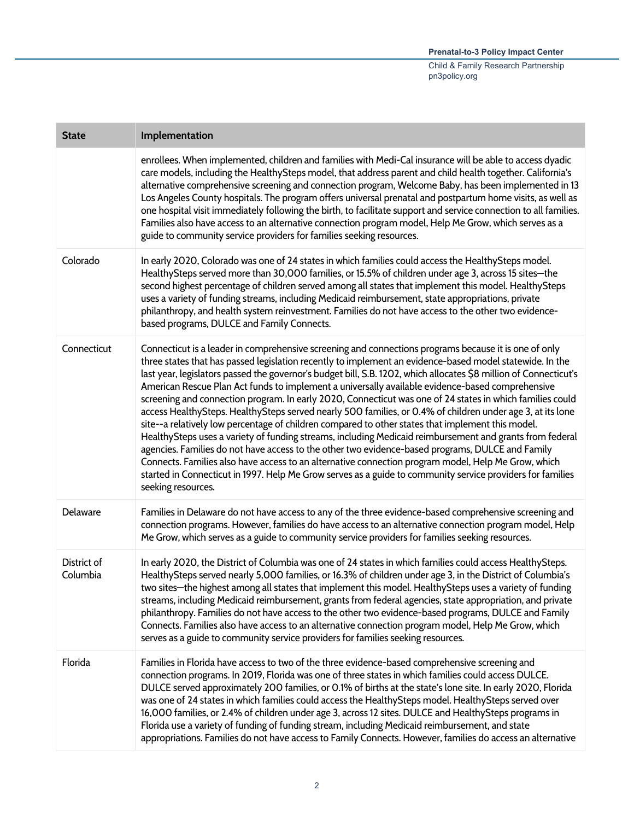| <b>State</b>            | Implementation                                                                                                                                                                                                                                                                                                                                                                                                                                                                                                                                                                                                                                                                                                                                                                                                                                                                                                                                                                                                                                                                                                                                                                                                                        |
|-------------------------|---------------------------------------------------------------------------------------------------------------------------------------------------------------------------------------------------------------------------------------------------------------------------------------------------------------------------------------------------------------------------------------------------------------------------------------------------------------------------------------------------------------------------------------------------------------------------------------------------------------------------------------------------------------------------------------------------------------------------------------------------------------------------------------------------------------------------------------------------------------------------------------------------------------------------------------------------------------------------------------------------------------------------------------------------------------------------------------------------------------------------------------------------------------------------------------------------------------------------------------|
|                         | enrollees. When implemented, children and families with Medi-Cal insurance will be able to access dyadic<br>care models, including the HealthySteps model, that address parent and child health together. California's<br>alternative comprehensive screening and connection program, Welcome Baby, has been implemented in 13<br>Los Angeles County hospitals. The program offers universal prenatal and postpartum home visits, as well as<br>one hospital visit immediately following the birth, to facilitate support and service connection to all families.<br>Families also have access to an alternative connection program model, Help Me Grow, which serves as a<br>guide to community service providers for families seeking resources.                                                                                                                                                                                                                                                                                                                                                                                                                                                                                    |
| Colorado                | In early 2020, Colorado was one of 24 states in which families could access the HealthySteps model.<br>HealthySteps served more than 30,000 families, or 15.5% of children under age 3, across 15 sites-the<br>second highest percentage of children served among all states that implement this model. HealthySteps<br>uses a variety of funding streams, including Medicaid reimbursement, state appropriations, private<br>philanthropy, and health system reinvestment. Families do not have access to the other two evidence-<br>based programs, DULCE and Family Connects.                                                                                                                                                                                                                                                                                                                                                                                                                                                                                                                                                                                                                                                      |
| Connecticut             | Connecticut is a leader in comprehensive screening and connections programs because it is one of only<br>three states that has passed legislation recently to implement an evidence-based model statewide. In the<br>last year, legislators passed the governor's budget bill, S.B. 1202, which allocates \$8 million of Connecticut's<br>American Rescue Plan Act funds to implement a universally available evidence-based comprehensive<br>screening and connection program. In early 2020, Connecticut was one of 24 states in which families could<br>access HealthySteps. HealthySteps served nearly 500 families, or 0.4% of children under age 3, at its lone<br>site--a relatively low percentage of children compared to other states that implement this model.<br>HealthySteps uses a variety of funding streams, including Medicaid reimbursement and grants from federal<br>agencies. Families do not have access to the other two evidence-based programs, DULCE and Family<br>Connects. Families also have access to an alternative connection program model, Help Me Grow, which<br>started in Connecticut in 1997. Help Me Grow serves as a guide to community service providers for families<br>seeking resources. |
| Delaware                | Families in Delaware do not have access to any of the three evidence-based comprehensive screening and<br>connection programs. However, families do have access to an alternative connection program model, Help<br>Me Grow, which serves as a guide to community service providers for families seeking resources.                                                                                                                                                                                                                                                                                                                                                                                                                                                                                                                                                                                                                                                                                                                                                                                                                                                                                                                   |
| District of<br>Columbia | In early 2020, the District of Columbia was one of 24 states in which families could access HealthySteps.<br>HealthySteps served nearly 5,000 families, or 16.3% of children under age 3, in the District of Columbia's<br>two sites-the highest among all states that implement this model. HealthySteps uses a variety of funding<br>streams, including Medicaid reimbursement, grants from federal agencies, state appropriation, and private<br>philanthropy. Families do not have access to the other two evidence-based programs, DULCE and Family<br>Connects. Families also have access to an alternative connection program model, Help Me Grow, which<br>serves as a guide to community service providers for families seeking resources.                                                                                                                                                                                                                                                                                                                                                                                                                                                                                   |
| Florida                 | Families in Florida have access to two of the three evidence-based comprehensive screening and<br>connection programs. In 2019, Florida was one of three states in which families could access DULCE.<br>DULCE served approximately 200 families, or 0.1% of births at the state's lone site. In early 2020, Florida<br>was one of 24 states in which families could access the HealthySteps model. HealthySteps served over<br>16,000 families, or 2.4% of children under age 3, across 12 sites. DULCE and HealthySteps programs in<br>Florida use a variety of funding of funding stream, including Medicaid reimbursement, and state<br>appropriations. Families do not have access to Family Connects. However, families do access an alternative                                                                                                                                                                                                                                                                                                                                                                                                                                                                                |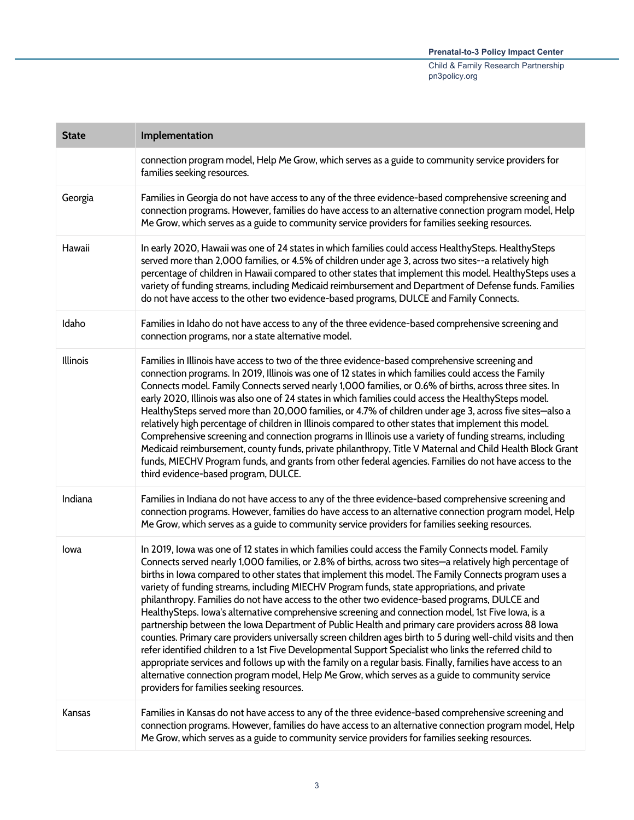| <b>State</b> | Implementation                                                                                                                                                                                                                                                                                                                                                                                                                                                                                                                                                                                                                                                                                                                                                                                                                                                                                                                                                                                                                                                                                                                                                                                                                         |
|--------------|----------------------------------------------------------------------------------------------------------------------------------------------------------------------------------------------------------------------------------------------------------------------------------------------------------------------------------------------------------------------------------------------------------------------------------------------------------------------------------------------------------------------------------------------------------------------------------------------------------------------------------------------------------------------------------------------------------------------------------------------------------------------------------------------------------------------------------------------------------------------------------------------------------------------------------------------------------------------------------------------------------------------------------------------------------------------------------------------------------------------------------------------------------------------------------------------------------------------------------------|
|              | connection program model, Help Me Grow, which serves as a guide to community service providers for<br>families seeking resources.                                                                                                                                                                                                                                                                                                                                                                                                                                                                                                                                                                                                                                                                                                                                                                                                                                                                                                                                                                                                                                                                                                      |
| Georgia      | Families in Georgia do not have access to any of the three evidence-based comprehensive screening and<br>connection programs. However, families do have access to an alternative connection program model, Help<br>Me Grow, which serves as a guide to community service providers for families seeking resources.                                                                                                                                                                                                                                                                                                                                                                                                                                                                                                                                                                                                                                                                                                                                                                                                                                                                                                                     |
| Hawaii       | In early 2020, Hawaii was one of 24 states in which families could access HealthySteps. HealthySteps<br>served more than 2,000 families, or 4.5% of children under age 3, across two sites--a relatively high<br>percentage of children in Hawaii compared to other states that implement this model. HealthySteps uses a<br>variety of funding streams, including Medicaid reimbursement and Department of Defense funds. Families<br>do not have access to the other two evidence-based programs, DULCE and Family Connects.                                                                                                                                                                                                                                                                                                                                                                                                                                                                                                                                                                                                                                                                                                         |
| Idaho        | Families in Idaho do not have access to any of the three evidence-based comprehensive screening and<br>connection programs, nor a state alternative model.                                                                                                                                                                                                                                                                                                                                                                                                                                                                                                                                                                                                                                                                                                                                                                                                                                                                                                                                                                                                                                                                             |
| Illinois     | Families in Illinois have access to two of the three evidence-based comprehensive screening and<br>connection programs. In 2019, Illinois was one of 12 states in which families could access the Family<br>Connects model. Family Connects served nearly 1,000 families, or 0.6% of births, across three sites. In<br>early 2020, Illinois was also one of 24 states in which families could access the HealthySteps model.<br>HealthySteps served more than 20,000 families, or 4.7% of children under age 3, across five sites—also a<br>relatively high percentage of children in Illinois compared to other states that implement this model.<br>Comprehensive screening and connection programs in Illinois use a variety of funding streams, including<br>Medicaid reimbursement, county funds, private philanthropy, Title V Maternal and Child Health Block Grant<br>funds, MIECHV Program funds, and grants from other federal agencies. Families do not have access to the<br>third evidence-based program, DULCE.                                                                                                                                                                                                          |
| Indiana      | Families in Indiana do not have access to any of the three evidence-based comprehensive screening and<br>connection programs. However, families do have access to an alternative connection program model, Help<br>Me Grow, which serves as a guide to community service providers for families seeking resources.                                                                                                                                                                                                                                                                                                                                                                                                                                                                                                                                                                                                                                                                                                                                                                                                                                                                                                                     |
| lowa         | In 2019, Iowa was one of 12 states in which families could access the Family Connects model. Family<br>Connects served nearly 1,000 families, or 2.8% of births, across two sites-a relatively high percentage of<br>births in Iowa compared to other states that implement this model. The Family Connects program uses a<br>variety of funding streams, including MIECHV Program funds, state appropriations, and private<br>philanthropy. Families do not have access to the other two evidence-based programs, DULCE and<br>HealthySteps. Iowa's alternative comprehensive screening and connection model, 1st Five Iowa, is a<br>partnership between the Iowa Department of Public Health and primary care providers across 88 Iowa<br>counties. Primary care providers universally screen children ages birth to 5 during well-child visits and then<br>refer identified children to a 1st Five Developmental Support Specialist who links the referred child to<br>appropriate services and follows up with the family on a regular basis. Finally, families have access to an<br>alternative connection program model, Help Me Grow, which serves as a guide to community service<br>providers for families seeking resources. |
| Kansas       | Families in Kansas do not have access to any of the three evidence-based comprehensive screening and<br>connection programs. However, families do have access to an alternative connection program model, Help<br>Me Grow, which serves as a guide to community service providers for families seeking resources.                                                                                                                                                                                                                                                                                                                                                                                                                                                                                                                                                                                                                                                                                                                                                                                                                                                                                                                      |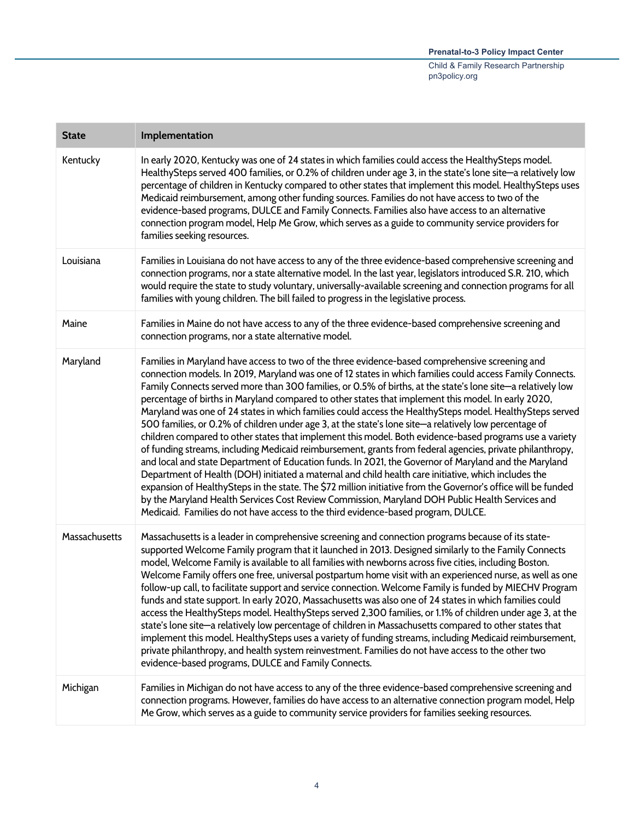| <b>State</b>  | Implementation                                                                                                                                                                                                                                                                                                                                                                                                                                                                                                                                                                                                                                                                                                                                                                                                                                                                                                                                                                                                                                                                                                                                                                                                                                                                                                                                                                                             |
|---------------|------------------------------------------------------------------------------------------------------------------------------------------------------------------------------------------------------------------------------------------------------------------------------------------------------------------------------------------------------------------------------------------------------------------------------------------------------------------------------------------------------------------------------------------------------------------------------------------------------------------------------------------------------------------------------------------------------------------------------------------------------------------------------------------------------------------------------------------------------------------------------------------------------------------------------------------------------------------------------------------------------------------------------------------------------------------------------------------------------------------------------------------------------------------------------------------------------------------------------------------------------------------------------------------------------------------------------------------------------------------------------------------------------------|
| Kentucky      | In early 2020, Kentucky was one of 24 states in which families could access the HealthySteps model.<br>HealthySteps served 400 families, or 0.2% of children under age 3, in the state's lone site-a relatively low<br>percentage of children in Kentucky compared to other states that implement this model. HealthySteps uses<br>Medicaid reimbursement, among other funding sources. Families do not have access to two of the<br>evidence-based programs, DULCE and Family Connects. Families also have access to an alternative<br>connection program model, Help Me Grow, which serves as a guide to community service providers for<br>families seeking resources.                                                                                                                                                                                                                                                                                                                                                                                                                                                                                                                                                                                                                                                                                                                                  |
| Louisiana     | Families in Louisiana do not have access to any of the three evidence-based comprehensive screening and<br>connection programs, nor a state alternative model. In the last year, legislators introduced S.R. 210, which<br>would require the state to study voluntary, universally-available screening and connection programs for all<br>families with young children. The bill failed to progress in the legislative process.                                                                                                                                                                                                                                                                                                                                                                                                                                                                                                                                                                                                                                                                                                                                                                                                                                                                                                                                                                            |
| Maine         | Families in Maine do not have access to any of the three evidence-based comprehensive screening and<br>connection programs, nor a state alternative model.                                                                                                                                                                                                                                                                                                                                                                                                                                                                                                                                                                                                                                                                                                                                                                                                                                                                                                                                                                                                                                                                                                                                                                                                                                                 |
| Maryland      | Families in Maryland have access to two of the three evidence-based comprehensive screening and<br>connection models. In 2019, Maryland was one of 12 states in which families could access Family Connects.<br>Family Connects served more than 300 families, or 0.5% of births, at the state's lone site-a relatively low<br>percentage of births in Maryland compared to other states that implement this model. In early 2020,<br>Maryland was one of 24 states in which families could access the HealthySteps model. HealthySteps served<br>500 families, or 0.2% of children under age 3, at the state's lone site—a relatively low percentage of<br>children compared to other states that implement this model. Both evidence-based programs use a variety<br>of funding streams, including Medicaid reimbursement, grants from federal agencies, private philanthropy,<br>and local and state Department of Education funds. In 2021, the Governor of Maryland and the Maryland<br>Department of Health (DOH) initiated a maternal and child health care initiative, which includes the<br>expansion of HealthySteps in the state. The \$72 million initiative from the Governor's office will be funded<br>by the Maryland Health Services Cost Review Commission, Maryland DOH Public Health Services and<br>Medicaid. Families do not have access to the third evidence-based program, DULCE. |
| Massachusetts | Massachusetts is a leader in comprehensive screening and connection programs because of its state-<br>supported Welcome Family program that it launched in 2013. Designed similarly to the Family Connects<br>model, Welcome Family is available to all families with newborns across five cities, including Boston.<br>Welcome Family offers one free, universal postpartum home visit with an experienced nurse, as well as one<br>follow-up call, to facilitate support and service connection. Welcome Family is funded by MIECHV Program<br>funds and state support. In early 2020, Massachusetts was also one of 24 states in which families could<br>access the HealthySteps model. HealthySteps served 2,300 families, or 1.1% of children under age 3, at the<br>state's lone site-a relatively low percentage of children in Massachusetts compared to other states that<br>implement this model. HealthySteps uses a variety of funding streams, including Medicaid reimbursement,<br>private philanthropy, and health system reinvestment. Families do not have access to the other two<br>evidence-based programs, DULCE and Family Connects.                                                                                                                                                                                                                                                 |
| Michigan      | Families in Michigan do not have access to any of the three evidence-based comprehensive screening and<br>connection programs. However, families do have access to an alternative connection program model, Help<br>Me Grow, which serves as a guide to community service providers for families seeking resources.                                                                                                                                                                                                                                                                                                                                                                                                                                                                                                                                                                                                                                                                                                                                                                                                                                                                                                                                                                                                                                                                                        |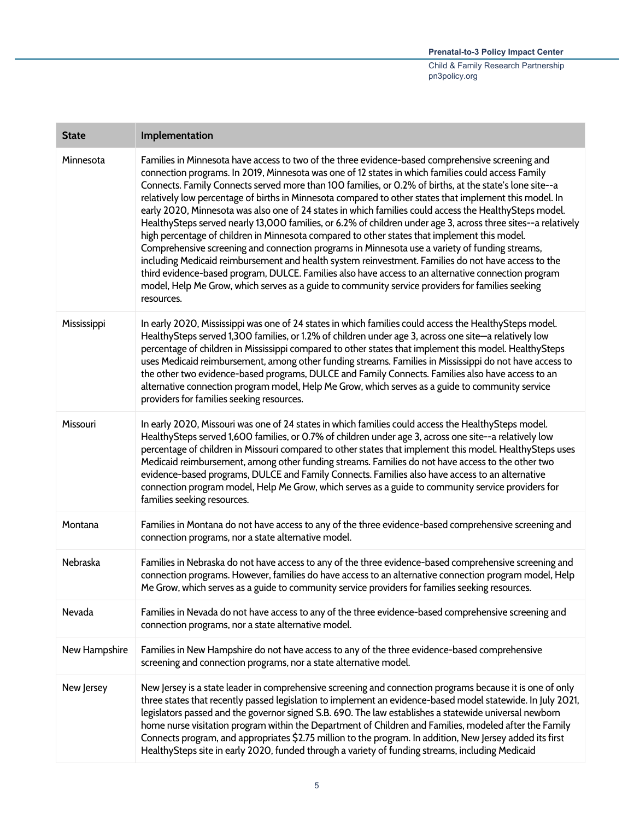| <b>State</b>  | Implementation                                                                                                                                                                                                                                                                                                                                                                                                                                                                                                                                                                                                                                                                                                                                                                                                                                                                                                                                                                                                                                                                                                                                                                            |
|---------------|-------------------------------------------------------------------------------------------------------------------------------------------------------------------------------------------------------------------------------------------------------------------------------------------------------------------------------------------------------------------------------------------------------------------------------------------------------------------------------------------------------------------------------------------------------------------------------------------------------------------------------------------------------------------------------------------------------------------------------------------------------------------------------------------------------------------------------------------------------------------------------------------------------------------------------------------------------------------------------------------------------------------------------------------------------------------------------------------------------------------------------------------------------------------------------------------|
| Minnesota     | Families in Minnesota have access to two of the three evidence-based comprehensive screening and<br>connection programs. In 2019, Minnesota was one of 12 states in which families could access Family<br>Connects. Family Connects served more than 100 families, or 0.2% of births, at the state's lone site--a<br>relatively low percentage of births in Minnesota compared to other states that implement this model. In<br>early 2020, Minnesota was also one of 24 states in which families could access the HealthySteps model.<br>HealthySteps served nearly 13,000 families, or 6.2% of children under age 3, across three sites--a relatively<br>high percentage of children in Minnesota compared to other states that implement this model.<br>Comprehensive screening and connection programs in Minnesota use a variety of funding streams,<br>including Medicaid reimbursement and health system reinvestment. Families do not have access to the<br>third evidence-based program, DULCE. Families also have access to an alternative connection program<br>model, Help Me Grow, which serves as a guide to community service providers for families seeking<br>resources. |
| Mississippi   | In early 2020, Mississippi was one of 24 states in which families could access the HealthySteps model.<br>HealthySteps served 1,300 families, or 1.2% of children under age 3, across one site-a relatively low<br>percentage of children in Mississippi compared to other states that implement this model. HealthySteps<br>uses Medicaid reimbursement, among other funding streams. Families in Mississippi do not have access to<br>the other two evidence-based programs, DULCE and Family Connects. Families also have access to an<br>alternative connection program model, Help Me Grow, which serves as a guide to community service<br>providers for families seeking resources.                                                                                                                                                                                                                                                                                                                                                                                                                                                                                                |
| Missouri      | In early 2020, Missouri was one of 24 states in which families could access the HealthySteps model.<br>HealthySteps served 1,600 families, or 0.7% of children under age 3, across one site--a relatively low<br>percentage of children in Missouri compared to other states that implement this model. HealthySteps uses<br>Medicaid reimbursement, among other funding streams. Families do not have access to the other two<br>evidence-based programs, DULCE and Family Connects. Families also have access to an alternative<br>connection program model, Help Me Grow, which serves as a guide to community service providers for<br>families seeking resources.                                                                                                                                                                                                                                                                                                                                                                                                                                                                                                                    |
| Montana       | Families in Montana do not have access to any of the three evidence-based comprehensive screening and<br>connection programs, nor a state alternative model.                                                                                                                                                                                                                                                                                                                                                                                                                                                                                                                                                                                                                                                                                                                                                                                                                                                                                                                                                                                                                              |
| Nebraska      | Families in Nebraska do not have access to any of the three evidence-based comprehensive screening and<br>connection programs. However, families do have access to an alternative connection program model, Help<br>Me Grow, which serves as a guide to community service providers for families seeking resources.                                                                                                                                                                                                                                                                                                                                                                                                                                                                                                                                                                                                                                                                                                                                                                                                                                                                       |
| Nevada        | Families in Nevada do not have access to any of the three evidence-based comprehensive screening and<br>connection programs, nor a state alternative model.                                                                                                                                                                                                                                                                                                                                                                                                                                                                                                                                                                                                                                                                                                                                                                                                                                                                                                                                                                                                                               |
| New Hampshire | Families in New Hampshire do not have access to any of the three evidence-based comprehensive<br>screening and connection programs, nor a state alternative model.                                                                                                                                                                                                                                                                                                                                                                                                                                                                                                                                                                                                                                                                                                                                                                                                                                                                                                                                                                                                                        |
| New Jersey    | New Jersey is a state leader in comprehensive screening and connection programs because it is one of only<br>three states that recently passed legislation to implement an evidence-based model statewide. In July 2021,<br>legislators passed and the governor signed S.B. 690. The law establishes a statewide universal newborn<br>home nurse visitation program within the Department of Children and Families, modeled after the Family<br>Connects program, and appropriates \$2.75 million to the program. In addition, New Jersey added its first<br>HealthySteps site in early 2020, funded through a variety of funding streams, including Medicaid                                                                                                                                                                                                                                                                                                                                                                                                                                                                                                                             |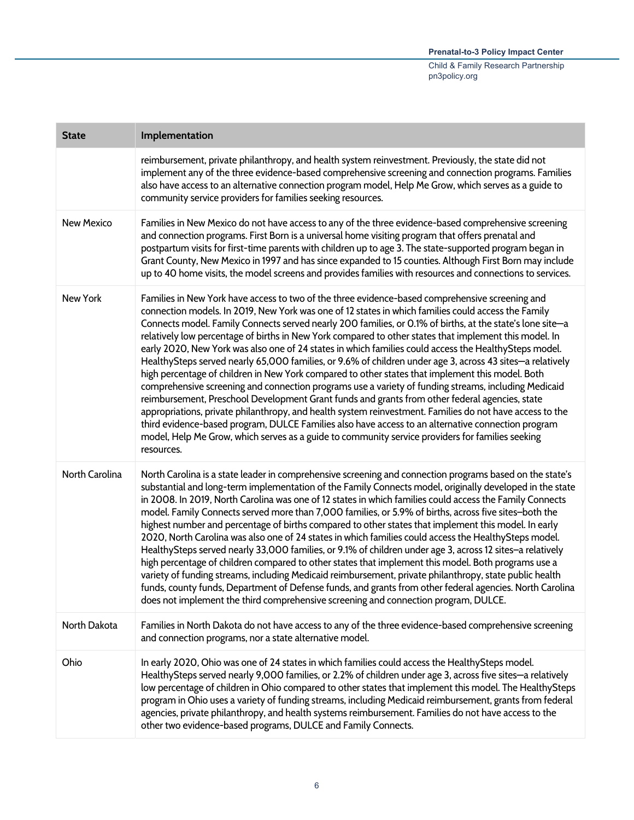| <b>State</b>      | Implementation                                                                                                                                                                                                                                                                                                                                                                                                                                                                                                                                                                                                                                                                                                                                                                                                                                                                                                                                                                                                                                                                                                                                                                                                                                                                                        |
|-------------------|-------------------------------------------------------------------------------------------------------------------------------------------------------------------------------------------------------------------------------------------------------------------------------------------------------------------------------------------------------------------------------------------------------------------------------------------------------------------------------------------------------------------------------------------------------------------------------------------------------------------------------------------------------------------------------------------------------------------------------------------------------------------------------------------------------------------------------------------------------------------------------------------------------------------------------------------------------------------------------------------------------------------------------------------------------------------------------------------------------------------------------------------------------------------------------------------------------------------------------------------------------------------------------------------------------|
|                   | reimbursement, private philanthropy, and health system reinvestment. Previously, the state did not<br>implement any of the three evidence-based comprehensive screening and connection programs. Families<br>also have access to an alternative connection program model, Help Me Grow, which serves as a guide to<br>community service providers for families seeking resources.                                                                                                                                                                                                                                                                                                                                                                                                                                                                                                                                                                                                                                                                                                                                                                                                                                                                                                                     |
| <b>New Mexico</b> | Families in New Mexico do not have access to any of the three evidence-based comprehensive screening<br>and connection programs. First Born is a universal home visiting program that offers prenatal and<br>postpartum visits for first-time parents with children up to age 3. The state-supported program began in<br>Grant County, New Mexico in 1997 and has since expanded to 15 counties. Although First Born may include<br>up to 40 home visits, the model screens and provides families with resources and connections to services.                                                                                                                                                                                                                                                                                                                                                                                                                                                                                                                                                                                                                                                                                                                                                         |
| New York          | Families in New York have access to two of the three evidence-based comprehensive screening and<br>connection models. In 2019, New York was one of 12 states in which families could access the Family<br>Connects model. Family Connects served nearly 200 families, or 0.1% of births, at the state's lone site-a<br>relatively low percentage of births in New York compared to other states that implement this model. In<br>early 2020, New York was also one of 24 states in which families could access the HealthySteps model.<br>HealthySteps served nearly 65,000 families, or 9.6% of children under age 3, across 43 sites—a relatively<br>high percentage of children in New York compared to other states that implement this model. Both<br>comprehensive screening and connection programs use a variety of funding streams, including Medicaid<br>reimbursement, Preschool Development Grant funds and grants from other federal agencies, state<br>appropriations, private philanthropy, and health system reinvestment. Families do not have access to the<br>third evidence-based program, DULCE Families also have access to an alternative connection program<br>model, Help Me Grow, which serves as a guide to community service providers for families seeking<br>resources. |
| North Carolina    | North Carolina is a state leader in comprehensive screening and connection programs based on the state's<br>substantial and long-term implementation of the Family Connects model, originally developed in the state<br>in 2008. In 2019, North Carolina was one of 12 states in which families could access the Family Connects<br>model. Family Connects served more than 7,000 families, or 5.9% of births, across five sites-both the<br>highest number and percentage of births compared to other states that implement this model. In early<br>2020, North Carolina was also one of 24 states in which families could access the HealthySteps model.<br>HealthySteps served nearly 33,000 families, or 9.1% of children under age 3, across 12 sites-a relatively<br>high percentage of children compared to other states that implement this model. Both programs use a<br>variety of funding streams, including Medicaid reimbursement, private philanthropy, state public health<br>funds, county funds, Department of Defense funds, and grants from other federal agencies. North Carolina<br>does not implement the third comprehensive screening and connection program, DULCE.                                                                                                          |
| North Dakota      | Families in North Dakota do not have access to any of the three evidence-based comprehensive screening<br>and connection programs, nor a state alternative model.                                                                                                                                                                                                                                                                                                                                                                                                                                                                                                                                                                                                                                                                                                                                                                                                                                                                                                                                                                                                                                                                                                                                     |
| Ohio              | In early 2020, Ohio was one of 24 states in which families could access the HealthySteps model.<br>HealthySteps served nearly 9,000 families, or 2.2% of children under age 3, across five sites—a relatively<br>low percentage of children in Ohio compared to other states that implement this model. The HealthySteps<br>program in Ohio uses a variety of funding streams, including Medicaid reimbursement, grants from federal<br>agencies, private philanthropy, and health systems reimbursement. Families do not have access to the<br>other two evidence-based programs, DULCE and Family Connects.                                                                                                                                                                                                                                                                                                                                                                                                                                                                                                                                                                                                                                                                                         |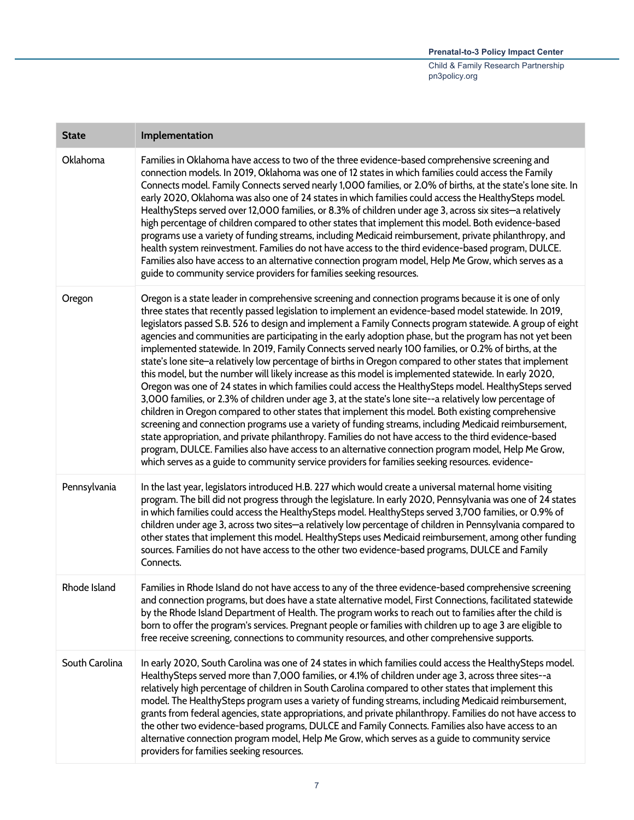| <b>State</b>   | Implementation                                                                                                                                                                                                                                                                                                                                                                                                                                                                                                                                                                                                                                                                                                                                                                                                                                                                                                                                                                                                                                                                                                                                                                                                                                                                                                                                                                                                                                                                                                                      |
|----------------|-------------------------------------------------------------------------------------------------------------------------------------------------------------------------------------------------------------------------------------------------------------------------------------------------------------------------------------------------------------------------------------------------------------------------------------------------------------------------------------------------------------------------------------------------------------------------------------------------------------------------------------------------------------------------------------------------------------------------------------------------------------------------------------------------------------------------------------------------------------------------------------------------------------------------------------------------------------------------------------------------------------------------------------------------------------------------------------------------------------------------------------------------------------------------------------------------------------------------------------------------------------------------------------------------------------------------------------------------------------------------------------------------------------------------------------------------------------------------------------------------------------------------------------|
| Oklahoma       | Families in Oklahoma have access to two of the three evidence-based comprehensive screening and<br>connection models. In 2019, Oklahoma was one of 12 states in which families could access the Family<br>Connects model. Family Connects served nearly 1,000 families, or 2.0% of births, at the state's lone site. In<br>early 2020, Oklahoma was also one of 24 states in which families could access the HealthySteps model.<br>HealthySteps served over 12,000 families, or 8.3% of children under age 3, across six sites-a relatively<br>high percentage of children compared to other states that implement this model. Both evidence-based<br>programs use a variety of funding streams, including Medicaid reimbursement, private philanthropy, and<br>health system reinvestment. Families do not have access to the third evidence-based program, DULCE.<br>Families also have access to an alternative connection program model, Help Me Grow, which serves as a<br>guide to community service providers for families seeking resources.                                                                                                                                                                                                                                                                                                                                                                                                                                                                               |
| Oregon         | Oregon is a state leader in comprehensive screening and connection programs because it is one of only<br>three states that recently passed legislation to implement an evidence-based model statewide. In 2019,<br>legislators passed S.B. 526 to design and implement a Family Connects program statewide. A group of eight<br>agencies and communities are participating in the early adoption phase, but the program has not yet been<br>implemented statewide. In 2019, Family Connects served nearly 100 families, or 0.2% of births, at the<br>state's lone site-a relatively low percentage of births in Oregon compared to other states that implement<br>this model, but the number will likely increase as this model is implemented statewide. In early 2020,<br>Oregon was one of 24 states in which families could access the HealthySteps model. HealthySteps served<br>3,000 families, or 2.3% of children under age 3, at the state's lone site--a relatively low percentage of<br>children in Oregon compared to other states that implement this model. Both existing comprehensive<br>screening and connection programs use a variety of funding streams, including Medicaid reimbursement,<br>state appropriation, and private philanthropy. Families do not have access to the third evidence-based<br>program, DULCE. Families also have access to an alternative connection program model, Help Me Grow,<br>which serves as a guide to community service providers for families seeking resources. evidence- |
| Pennsylvania   | In the last year, legislators introduced H.B. 227 which would create a universal maternal home visiting<br>program. The bill did not progress through the legislature. In early 2020, Pennsylvania was one of 24 states<br>in which families could access the HealthySteps model. HealthySteps served 3,700 families, or 0.9% of<br>children under age 3, across two sites-a relatively low percentage of children in Pennsylvania compared to<br>other states that implement this model. HealthySteps uses Medicaid reimbursement, among other funding<br>sources. Families do not have access to the other two evidence-based programs, DULCE and Family<br>Connects.                                                                                                                                                                                                                                                                                                                                                                                                                                                                                                                                                                                                                                                                                                                                                                                                                                                             |
| Rhode Island   | Families in Rhode Island do not have access to any of the three evidence-based comprehensive screening<br>and connection programs, but does have a state alternative model, First Connections, facilitated statewide<br>by the Rhode Island Department of Health. The program works to reach out to families after the child is<br>born to offer the program's services. Pregnant people or families with children up to age 3 are eligible to<br>free receive screening, connections to community resources, and other comprehensive supports.                                                                                                                                                                                                                                                                                                                                                                                                                                                                                                                                                                                                                                                                                                                                                                                                                                                                                                                                                                                     |
| South Carolina | In early 2020, South Carolina was one of 24 states in which families could access the HealthySteps model.<br>HealthySteps served more than 7,000 families, or 4.1% of children under age 3, across three sites--a<br>relatively high percentage of children in South Carolina compared to other states that implement this<br>model. The HealthySteps program uses a variety of funding streams, including Medicaid reimbursement,<br>grants from federal agencies, state appropriations, and private philanthropy. Families do not have access to<br>the other two evidence-based programs, DULCE and Family Connects. Families also have access to an<br>alternative connection program model, Help Me Grow, which serves as a guide to community service<br>providers for families seeking resources.                                                                                                                                                                                                                                                                                                                                                                                                                                                                                                                                                                                                                                                                                                                            |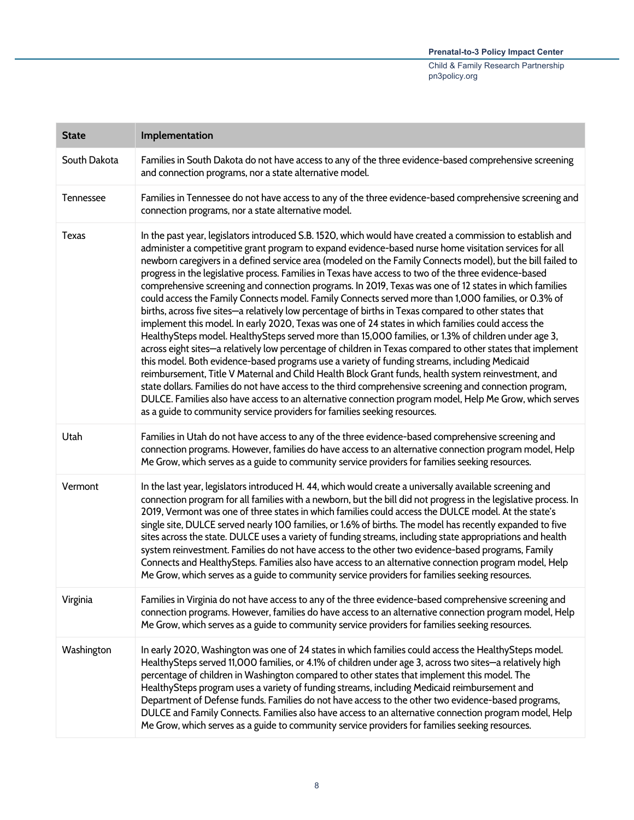| <b>State</b> | Implementation                                                                                                                                                                                                                                                                                                                                                                                                                                                                                                                                                                                                                                                                                                                                                                                                                                                                                                                                                                                                                                                                                                                                                                                                                                                                                                                                                                                                                                                                                                                                                                                                 |
|--------------|----------------------------------------------------------------------------------------------------------------------------------------------------------------------------------------------------------------------------------------------------------------------------------------------------------------------------------------------------------------------------------------------------------------------------------------------------------------------------------------------------------------------------------------------------------------------------------------------------------------------------------------------------------------------------------------------------------------------------------------------------------------------------------------------------------------------------------------------------------------------------------------------------------------------------------------------------------------------------------------------------------------------------------------------------------------------------------------------------------------------------------------------------------------------------------------------------------------------------------------------------------------------------------------------------------------------------------------------------------------------------------------------------------------------------------------------------------------------------------------------------------------------------------------------------------------------------------------------------------------|
| South Dakota | Families in South Dakota do not have access to any of the three evidence-based comprehensive screening<br>and connection programs, nor a state alternative model.                                                                                                                                                                                                                                                                                                                                                                                                                                                                                                                                                                                                                                                                                                                                                                                                                                                                                                                                                                                                                                                                                                                                                                                                                                                                                                                                                                                                                                              |
| Tennessee    | Families in Tennessee do not have access to any of the three evidence-based comprehensive screening and<br>connection programs, nor a state alternative model.                                                                                                                                                                                                                                                                                                                                                                                                                                                                                                                                                                                                                                                                                                                                                                                                                                                                                                                                                                                                                                                                                                                                                                                                                                                                                                                                                                                                                                                 |
| Texas        | In the past year, legislators introduced S.B. 1520, which would have created a commission to establish and<br>administer a competitive grant program to expand evidence-based nurse home visitation services for all<br>newborn caregivers in a defined service area (modeled on the Family Connects model), but the bill failed to<br>progress in the legislative process. Families in Texas have access to two of the three evidence-based<br>comprehensive screening and connection programs. In 2019, Texas was one of 12 states in which families<br>could access the Family Connects model. Family Connects served more than 1,000 families, or 0.3% of<br>births, across five sites-a relatively low percentage of births in Texas compared to other states that<br>implement this model. In early 2020, Texas was one of 24 states in which families could access the<br>HealthySteps model. HealthySteps served more than 15,000 families, or 1.3% of children under age 3,<br>across eight sites-a relatively low percentage of children in Texas compared to other states that implement<br>this model. Both evidence-based programs use a variety of funding streams, including Medicaid<br>reimbursement, Title V Maternal and Child Health Block Grant funds, health system reinvestment, and<br>state dollars. Families do not have access to the third comprehensive screening and connection program,<br>DULCE. Families also have access to an alternative connection program model, Help Me Grow, which serves<br>as a guide to community service providers for families seeking resources. |
| Utah         | Families in Utah do not have access to any of the three evidence-based comprehensive screening and<br>connection programs. However, families do have access to an alternative connection program model, Help<br>Me Grow, which serves as a guide to community service providers for families seeking resources.                                                                                                                                                                                                                                                                                                                                                                                                                                                                                                                                                                                                                                                                                                                                                                                                                                                                                                                                                                                                                                                                                                                                                                                                                                                                                                |
| Vermont      | In the last year, legislators introduced H. 44, which would create a universally available screening and<br>connection program for all families with a newborn, but the bill did not progress in the legislative process. In<br>2019, Vermont was one of three states in which families could access the DULCE model. At the state's<br>single site, DULCE served nearly 100 families, or 1.6% of births. The model has recently expanded to five<br>sites across the state. DULCE uses a variety of funding streams, including state appropriations and health<br>system reinvestment. Families do not have access to the other two evidence-based programs, Family<br>Connects and HealthySteps. Families also have access to an alternative connection program model, Help<br>Me Grow, which serves as a guide to community service providers for families seeking resources.                                                                                                                                                                                                                                                                                                                                                                                                                                                                                                                                                                                                                                                                                                                               |
| Virginia     | Families in Virginia do not have access to any of the three evidence-based comprehensive screening and<br>connection programs. However, families do have access to an alternative connection program model, Help<br>Me Grow, which serves as a guide to community service providers for families seeking resources.                                                                                                                                                                                                                                                                                                                                                                                                                                                                                                                                                                                                                                                                                                                                                                                                                                                                                                                                                                                                                                                                                                                                                                                                                                                                                            |
| Washington   | In early 2020, Washington was one of 24 states in which families could access the HealthySteps model.<br>HealthySteps served 11,000 families, or 4.1% of children under age 3, across two sites-a relatively high<br>percentage of children in Washington compared to other states that implement this model. The<br>HealthySteps program uses a variety of funding streams, including Medicaid reimbursement and<br>Department of Defense funds. Families do not have access to the other two evidence-based programs,<br>DULCE and Family Connects. Families also have access to an alternative connection program model, Help<br>Me Grow, which serves as a guide to community service providers for families seeking resources.                                                                                                                                                                                                                                                                                                                                                                                                                                                                                                                                                                                                                                                                                                                                                                                                                                                                            |